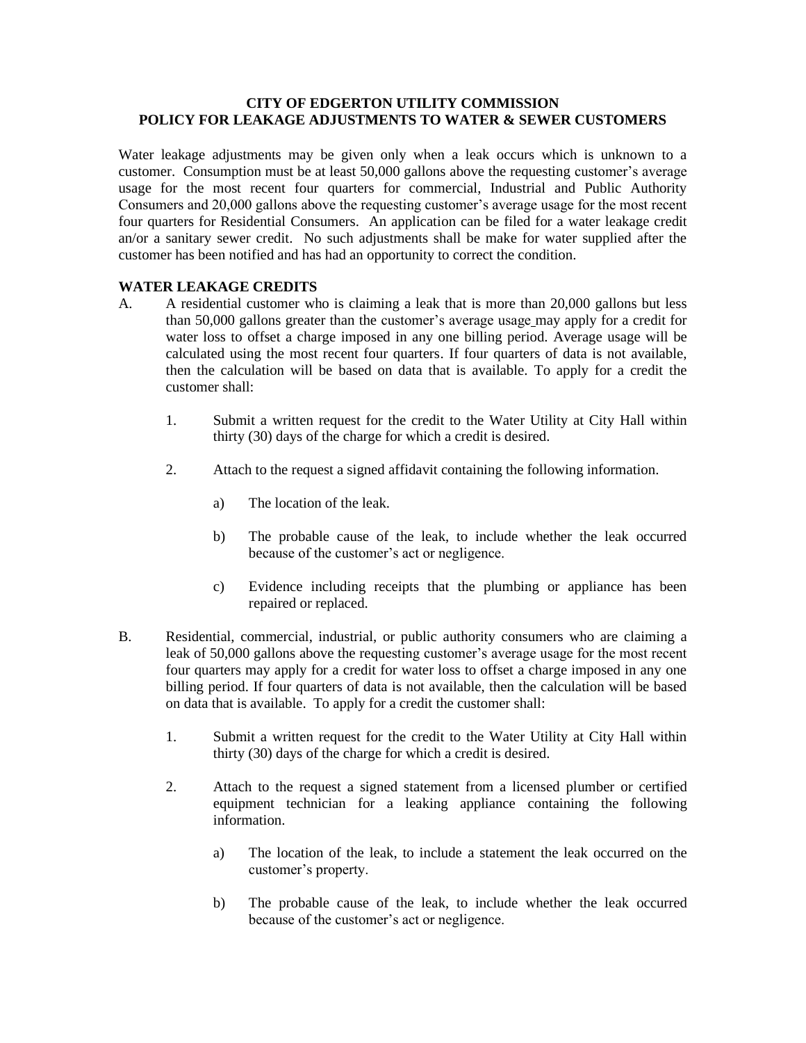# **CITY OF EDGERTON UTILITY COMMISSION POLICY FOR LEAKAGE ADJUSTMENTS TO WATER & SEWER CUSTOMERS**

Water leakage adjustments may be given only when a leak occurs which is unknown to a customer. Consumption must be at least 50,000 gallons above the requesting customer's average usage for the most recent four quarters for commercial, Industrial and Public Authority Consumers and 20,000 gallons above the requesting customer's average usage for the most recent four quarters for Residential Consumers. An application can be filed for a water leakage credit an/or a sanitary sewer credit. No such adjustments shall be make for water supplied after the customer has been notified and has had an opportunity to correct the condition.

## **WATER LEAKAGE CREDITS**

- A. A residential customer who is claiming a leak that is more than 20,000 gallons but less than 50,000 gallons greater than the customer's average usage may apply for a credit for water loss to offset a charge imposed in any one billing period. Average usage will be calculated using the most recent four quarters. If four quarters of data is not available, then the calculation will be based on data that is available. To apply for a credit the customer shall:
	- 1. Submit a written request for the credit to the Water Utility at City Hall within thirty (30) days of the charge for which a credit is desired.
	- 2. Attach to the request a signed affidavit containing the following information.
		- a) The location of the leak.
		- b) The probable cause of the leak, to include whether the leak occurred because of the customer's act or negligence.
		- c) Evidence including receipts that the plumbing or appliance has been repaired or replaced.
- B. Residential, commercial, industrial, or public authority consumers who are claiming a leak of 50,000 gallons above the requesting customer's average usage for the most recent four quarters may apply for a credit for water loss to offset a charge imposed in any one billing period. If four quarters of data is not available, then the calculation will be based on data that is available. To apply for a credit the customer shall:
	- 1. Submit a written request for the credit to the Water Utility at City Hall within thirty (30) days of the charge for which a credit is desired.
	- 2. Attach to the request a signed statement from a licensed plumber or certified equipment technician for a leaking appliance containing the following information.
		- a) The location of the leak, to include a statement the leak occurred on the customer's property.
		- b) The probable cause of the leak, to include whether the leak occurred because of the customer's act or negligence.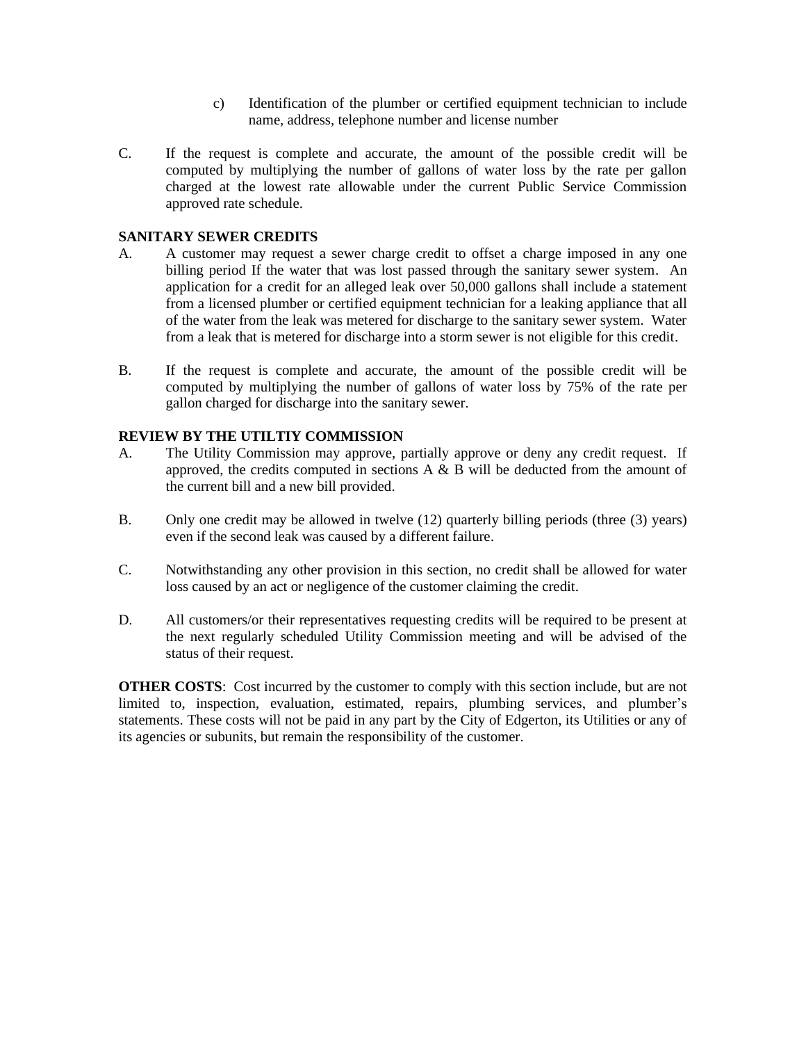- c) Identification of the plumber or certified equipment technician to include name, address, telephone number and license number
- C. If the request is complete and accurate, the amount of the possible credit will be computed by multiplying the number of gallons of water loss by the rate per gallon charged at the lowest rate allowable under the current Public Service Commission approved rate schedule.

## **SANITARY SEWER CREDITS**

- A. A customer may request a sewer charge credit to offset a charge imposed in any one billing period If the water that was lost passed through the sanitary sewer system. An application for a credit for an alleged leak over 50,000 gallons shall include a statement from a licensed plumber or certified equipment technician for a leaking appliance that all of the water from the leak was metered for discharge to the sanitary sewer system. Water from a leak that is metered for discharge into a storm sewer is not eligible for this credit.
- B. If the request is complete and accurate, the amount of the possible credit will be computed by multiplying the number of gallons of water loss by 75% of the rate per gallon charged for discharge into the sanitary sewer.

#### **REVIEW BY THE UTILTIY COMMISSION**

- A. The Utility Commission may approve, partially approve or deny any credit request. If approved, the credits computed in sections A & B will be deducted from the amount of the current bill and a new bill provided.
- B. Only one credit may be allowed in twelve (12) quarterly billing periods (three (3) years) even if the second leak was caused by a different failure.
- C. Notwithstanding any other provision in this section, no credit shall be allowed for water loss caused by an act or negligence of the customer claiming the credit.
- D. All customers/or their representatives requesting credits will be required to be present at the next regularly scheduled Utility Commission meeting and will be advised of the status of their request.

**OTHER COSTS**: Cost incurred by the customer to comply with this section include, but are not limited to, inspection, evaluation, estimated, repairs, plumbing services, and plumber's statements. These costs will not be paid in any part by the City of Edgerton, its Utilities or any of its agencies or subunits, but remain the responsibility of the customer.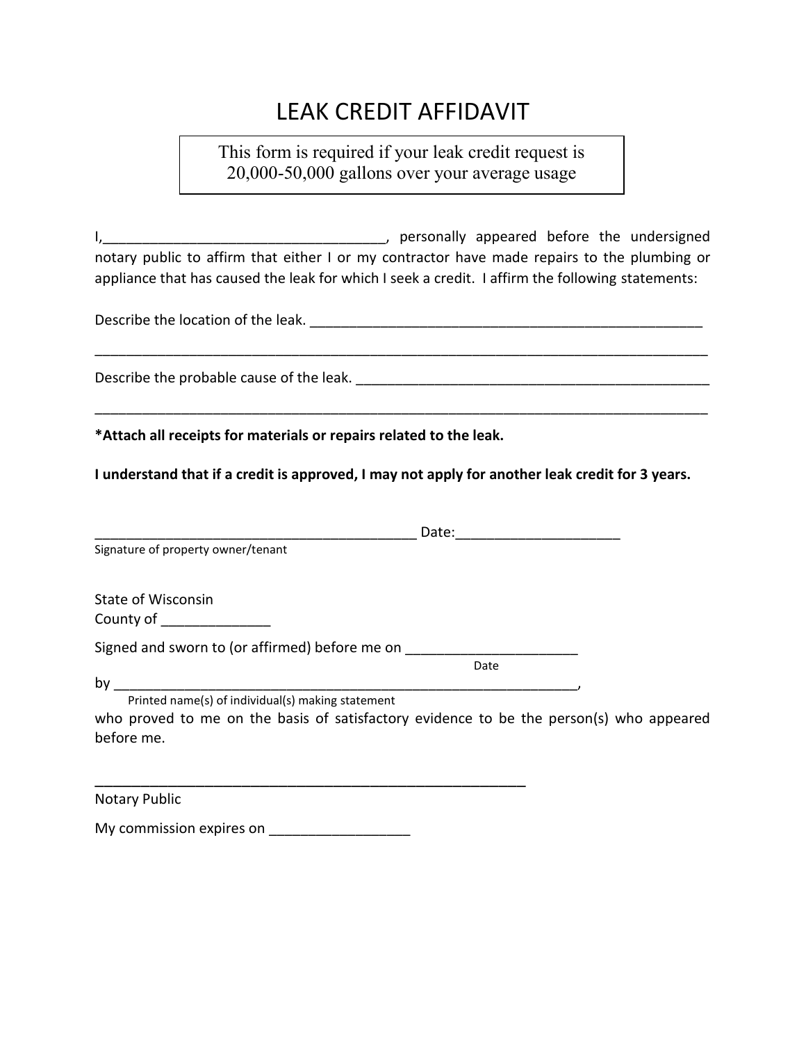# LEAK CREDIT AFFIDAVIT

# This form is required if your leak credit request is 20,000-50,000 gallons over your average usage

I,\_\_\_\_\_\_\_\_\_\_\_\_\_\_\_\_\_\_\_\_\_\_\_\_\_\_\_\_\_\_\_\_\_\_\_\_, personally appeared before the undersigned notary public to affirm that either I or my contractor have made repairs to the plumbing or appliance that has caused the leak for which I seek a credit. I affirm the following statements:

\_\_\_\_\_\_\_\_\_\_\_\_\_\_\_\_\_\_\_\_\_\_\_\_\_\_\_\_\_\_\_\_\_\_\_\_\_\_\_\_\_\_\_\_\_\_\_\_\_\_\_\_\_\_\_\_\_\_\_\_\_\_\_\_\_\_\_\_\_\_\_\_\_\_\_\_\_\_

\_\_\_\_\_\_\_\_\_\_\_\_\_\_\_\_\_\_\_\_\_\_\_\_\_\_\_\_\_\_\_\_\_\_\_\_\_\_\_\_\_\_\_\_\_\_\_\_\_\_\_\_\_\_\_\_\_\_\_\_\_\_\_\_\_\_\_\_\_\_\_\_\_\_\_\_\_\_

Describe the location of the leak. **Example 20 and 20 and 20 and 20 and 20 and 20 and 20 and 20 and 20 and 20 and 20 and 20 and 20 and 20 and 20 and 20 and 20 and 20 and 20 and 20 and 20 and 20 and 20 and 20 and 20 and 20** 

Describe the probable cause of the leak. \_\_\_\_\_\_\_\_\_\_\_\_\_\_\_\_\_\_\_\_\_\_\_\_\_\_\_\_\_\_\_\_\_\_\_\_\_\_\_\_\_\_\_\_\_

**\*Attach all receipts for materials or repairs related to the leak.**

**I understand that if a credit is approved, I may not apply for another leak credit for 3 years.**

|                                                                                                                                                                  | Date: |
|------------------------------------------------------------------------------------------------------------------------------------------------------------------|-------|
| Signature of property owner/tenant                                                                                                                               |       |
| <b>State of Wisconsin</b><br>County of                                                                                                                           |       |
| Signed and sworn to (or affirmed) before me on                                                                                                                   | Date  |
| by<br>Printed name(s) of individual(s) making statement<br>who proved to me on the basis of satisfactory evidence to be the person(s) who appeared<br>before me. |       |

Notary Public

My commission expires on

\_\_\_\_\_\_\_\_\_\_\_\_\_\_\_\_\_\_\_\_\_\_\_\_\_\_\_\_\_\_\_\_\_\_\_\_\_\_\_\_\_\_\_\_\_\_\_